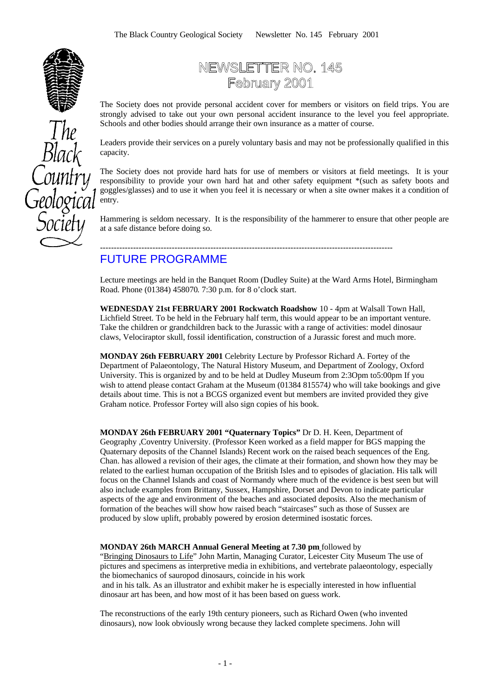

# NEWSLETTER NO. 145 February 2001

The Society does not provide personal accident cover for members or visitors on field trips. You are strongly advised to take out your own personal accident insurance to the level you feel appropriate. Schools and other bodies should arrange their own insurance as a matter of course.

Leaders provide their services on a purely voluntary basis and may not be professionally qualified in this capacity.

The Society does not provide hard hats for use of members or visitors at field meetings. It is your responsibility to provide your own hard hat and other safety equipment \*(such as safety boots and goggles/glasses) and to use it when you feel it is necessary or when a site owner makes it a condition of entry.

Hammering is seldom necessary. It is the responsibility of the hammerer to ensure that other people are at a safe distance before doing so.

### ---------------------------------------------------------------------------------------------------------- FUTURE PROGRAMME

Lecture meetings are held in the Banquet Room (Dudley Suite) at the Ward Arms Hotel, Birmingham Road. Phone (01384) 458070*.* 7:30 p.m. for 8 o'clock start.

**WEDNESDAY 21st FEBRUARY 2001 Rockwatch Roadshow** 10 - 4pm at Walsall Town Hall, Lichfield Street. To be held in the February half term, this would appear to be an important venture. Take the children or grandchildren back to the Jurassic with a range of activities: model dinosaur claws, Velociraptor skull, fossil identification, construction of a Jurassic forest and much more.

**MONDAY 26th FEBRUARY 2001** Celebrity Lecture by Professor Richard A. Fortey of the Department of Palaeontology, The Natural History Museum, and Department of Zoology, Oxford University. This is organized by and to be held at Dudley Museum from 2:3Opm to5:00pm If you wish to attend please contact Graham at the Museum (01384 815574*)* who will take bookings and give details about time. This is not a BCGS organized event but members are invited provided they give Graham notice. Professor Fortey will also sign copies of his book.

**MONDAY 26th FEBRUARY 2001 "Quaternary Topics"** Dr D. H. Keen, Department of Geography ,Coventry University. (Professor Keen worked as a field mapper for BGS mapping the Quaternary deposits of the Channel Islands) Recent work on the raised beach sequences of the Eng. Chan. has allowed a revision of their ages, the climate at their formation, and shown how they may be related to the earliest human occupation of the British Isles and to episodes of glaciation. His talk will focus on the Channel Islands and coast of Normandy where much of the evidence is best seen but will also include examples from Brittany, Sussex, Hampshire, Dorset and Devon to indicate particular aspects of the age and environment of the beaches and associated deposits. Also the mechanism of formation of the beaches will show how raised beach "staircases" such as those of Sussex are produced by slow uplift, probably powered by erosion determined isostatic forces.

#### **MONDAY 26th MARCH Annual General Meeting at 7.30 pm** followed by

"Bringing Dinosaurs to Life" John Martin, Managing Curator, Leicester City Museum The use of pictures and specimens as interpretive media in exhibitions, and vertebrate palaeontology, especially the biomechanics of sauropod dinosaurs, coincide in his work

 and in his talk. As an illustrator and exhibit maker he is especially interested in how influential dinosaur art has been, and how most of it has been based on guess work.

The reconstructions of the early 19th century pioneers, such as Richard Owen (who invented dinosaurs), now look obviously wrong because they lacked complete specimens. John will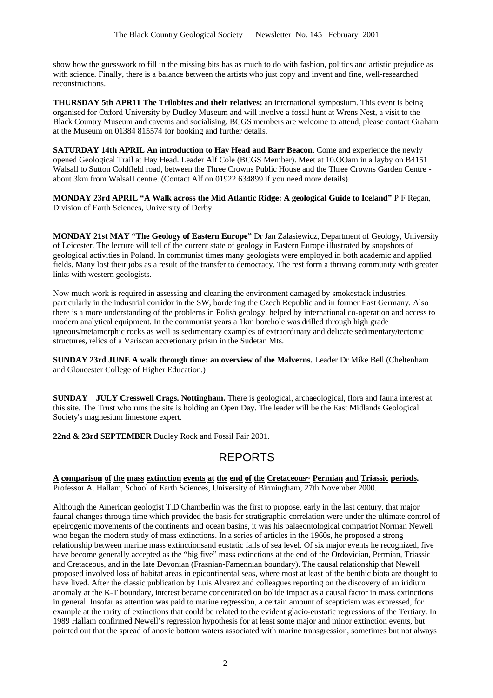show how the guesswork to fill in the missing bits has as much to do with fashion, politics and artistic prejudice as with science. Finally, there is a balance between the artists who just copy and invent and fine, well-researched reconstructions.

**THURSDAY 5th APR11 The Trilobites and their relatives:** an international symposium. This event is being organised for Oxford University by Dudley Museum and will involve a fossil hunt at Wrens Nest, a visit to the Black Country Museum and caverns and socialising. BCGS members are welcome to attend, please contact Graham at the Museum on 01384 815574 for booking and further details.

**SATURDAY 14th APRIL An introduction to Hay Head and Barr Beacon**. Come and experience the newly opened Geological Trail at Hay Head. Leader Alf Cole (BCGS Member). Meet at 10.OOam in a layby on B4151 Walsall to Sutton Coldfleld road, between the Three Crowns Public House and the Three Crowns Garden Centre about 3km from WalsaII centre. (Contact Alf on 01922 634899 if you need more details).

**MONDAY 23rd APRIL "A Walk across the Mid Atlantic Ridge: A geological Guide to Iceland"** P F Regan, Division of Earth Sciences, University of Derby.

**MONDAY 21st MAY "The Geology of Eastern Europe"** Dr Jan Zalasiewicz, Department of Geology, University of Leicester. The lecture will tell of the current state of geology in Eastern Europe illustrated by snapshots of geological activities in Poland. In communist times many geologists were employed in both academic and applied fields. Many lost their jobs as a result of the transfer to democracy. The rest form a thriving community with greater links with western geologists.

Now much work is required in assessing and cleaning the environment damaged by smokestack industries, particularly in the industrial corridor in the SW, bordering the Czech Republic and in former East Germany. Also there is a more understanding of the problems in Polish geology, helped by international co-operation and access to modern analytical equipment. In the communist years a 1km borehole was drilled through high grade igneous/metamorphic rocks as well as sedimentary examples of extraordinary and delicate sedimentary/tectonic structures, relics of a Variscan accretionary prism in the Sudetan Mts.

**SUNDAY 23rd JUNE A walk through time: an overview of the Malverns.** Leader Dr Mike Bell (Cheltenham and Gloucester College of Higher Education.)

**SUNDAY JULY Cresswell Crags. Nottingham.** There is geological, archaeological, flora and fauna interest at this site. The Trust who runs the site is holding an Open Day. The leader will be the East Midlands Geological Society's magnesium limestone expert.

**22nd & 23rd SEPTEMBER** Dudley Rock and Fossil Fair 2001.

## REPORTS

**A comparison of the mass extinction events at the end of the Cretaceous~ Permian and Triassic periods.** Professor A. Hallam, School of Earth Sciences, University of Birmingham, 27th November 2000.

Although the American geologist T.D.Chamberlin was the first to propose, early in the last century, that major faunal changes through time which provided the basis for stratigraphic correlation were under the ultimate control of epeirogenic movements of the continents and ocean basins, it was his palaeontological compatriot Norman Newell who began the modern study of mass extinctions. In a series of articles in the 1960s, he proposed a strong relationship between marine mass extinctionsand eustatic falls of sea level. Of six major events he recognized, five have become generally accepted as the "big five" mass extinctions at the end of the Ordovician, Permian, Triassic and Cretaceous, and in the late Devonian (Frasnian-Famennian boundary). The causal relationship that Newell proposed involved loss of habitat areas in epicontinental seas, where most at least of the benthic biota are thought to have lived. After the classic publication by Luis Alvarez and colleagues reporting on the discovery of an iridium anomaly at the K-T boundary, interest became concentrated on bolide impact as a causal factor in mass extinctions in general. Insofar as attention was paid to marine regression, a certain amount of scepticism was expressed, for example at the rarity of extinctions that could be related to the evident glacio-eustatic regressions of the Tertiary. In 1989 Hallam confirmed Newell's regression hypothesis for at least some major and minor extinction events, but pointed out that the spread of anoxic bottom waters associated with marine transgression, sometimes but not always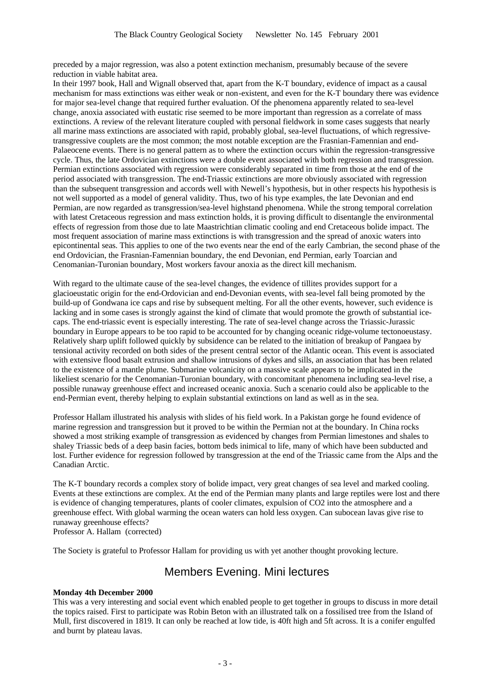preceded by a major regression, was also a potent extinction mechanism, presumably because of the severe reduction in viable habitat area.

In their 1997 book, Hall and Wignall observed that, apart from the K-T boundary, evidence of impact as a causal mechanism for mass extinctions was either weak or non-existent, and even for the K-T boundary there was evidence for major sea-level change that required further evaluation. Of the phenomena apparently related to sea-level change, anoxia associated with eustatic rise seemed to be more important than regression as a correlate of mass extinctions. A review of the relevant literature coupled with personal fieldwork in some cases suggests that nearly all marine mass extinctions are associated with rapid, probably global, sea-level fluctuations, of which regressivetransgressive couplets are the most common; the most notable exception are the Frasnian-Famennian and end-Palaeocene events. There is no general pattern as to where the extinction occurs within the regression-transgressive cycle. Thus, the late Ordovician extinctions were a double event associated with both regression and transgression. Permian extinctions associated with regression were considerably separated in time from those at the end of the period associated with transgression. The end-Triassic extinctions are more obviously associated with regression than the subsequent transgression and accords well with Newell's hypothesis, but in other respects his hypothesis is not well supported as a model of general validity. Thus, two of his type examples, the late Devonian and end Permian, are now regarded as transgression/sea-level highstand phenomena. While the strong temporal correlation with latest Cretaceous regression and mass extinction holds, it is proving difficult to disentangle the environmental effects of regression from those due to late Maastrichtian climatic cooling and end Cretaceous bolide impact. The most frequent association of marine mass extinctions is with transgression and the spread of anoxic waters into epicontinental seas. This applies to one of the two events near the end of the early Cambrian, the second phase of the end Ordovician, the Frasnian-Famennian boundary, the end Devonian, end Permian, early Toarcian and Cenomanian-Turonian boundary, Most workers favour anoxia as the direct kill mechanism.

With regard to the ultimate cause of the sea-level changes, the evidence of tillites provides support for a glacioeustatic origin for the end-Ordovician and end-Devonian events, with sea-level fall being promoted by the build-up of Gondwana ice caps and rise by subsequent melting. For all the other events, however, such evidence is lacking and in some cases is strongly against the kind of climate that would promote the growth of substantial icecaps. The end-triassic event is especially interesting. The rate of sea-level change across the Triassic-Jurassic boundary in Europe appears to be too rapid to be accounted for by changing oceanic ridge-volume tectonoeustasy. Relatively sharp uplift followed quickly by subsidence can be related to the initiation of breakup of Pangaea by tensional activity recorded on both sides of the present central sector of the Atlantic ocean. This event is associated with extensive flood basalt extrusion and shallow intrusions of dykes and sills, an association that has been related to the existence of a mantle plume. Submarine volcanicity on a massive scale appears to be implicated in the likeliest scenario for the Cenomanian-Turonian boundary, with concomitant phenomena including sea-level rise, a possible runaway greenhouse effect and increased oceanic anoxia. Such a scenario could also be applicable to the end-Permian event, thereby helping to explain substantial extinctions on land as well as in the sea.

Professor Hallam illustrated his analysis with slides of his field work. In a Pakistan gorge he found evidence of marine regression and transgression but it proved to be within the Permian not at the boundary. In China rocks showed a most striking example of transgression as evidenced by changes from Permian limestones and shales to shaley Triassic beds of a deep basin facies, bottom beds inimical to life, many of which have been subducted and lost. Further evidence for regression followed by transgression at the end of the Triassic came from the Alps and the Canadian Arctic.

The K-T boundary records a complex story of bolide impact, very great changes of sea level and marked cooling. Events at these extinctions are complex. At the end of the Permian many plants and large reptiles were lost and there is evidence of changing temperatures, plants of cooler climates, expulsion of CO2 into the atmosphere and a greenhouse effect. With global warming the ocean waters can hold less oxygen. Can subocean lavas give rise to runaway greenhouse effects?

Professor A. Hallam (corrected)

The Society is grateful to Professor Hallam for providing us with yet another thought provoking lecture.

### Members Evening. Mini lectures

#### **Monday 4th December 2000**

This was a very interesting and social event which enabled people to get together in groups to discuss in more detail the topics raised. First to participate was Robin Beton with an illustrated talk on a fossilised tree from the Island of Mull, first discovered in 1819. It can only be reached at low tide, is 40ft high and 5ft across. It is a conifer engulfed and burnt by plateau lavas.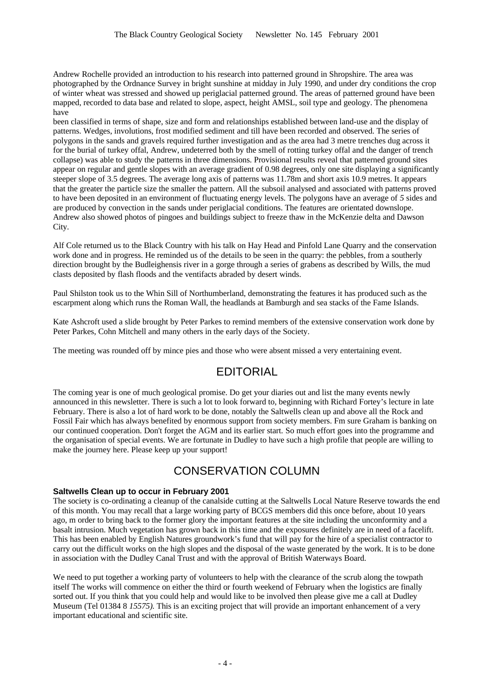Andrew Rochelle provided an introduction to his research into patterned ground in Shropshire. The area was photographed by the Ordnance Survey in bright sunshine at midday in July 1990, and under dry conditions the crop of winter wheat was stressed and showed up periglacial patterned ground. The areas of patterned ground have been mapped, recorded to data base and related to slope, aspect, height AMSL, soil type and geology. The phenomena have

been classified in terms of shape, size and form and relationships established between land-use and the display of patterns. Wedges, involutions, frost modified sediment and till have been recorded and observed. The series of polygons in the sands and gravels required further investigation and as the area had 3 metre trenches dug across it for the burial of turkey offal, Andrew, undeterred both by the smell of rotting turkey offal and the danger of trench collapse) was able to study the patterns in three dimensions. Provisional results reveal that patterned ground sites appear on regular and gentle slopes with an average gradient of 0.98 degrees, only one site displaying a significantly steeper slope of 3.5 degrees. The average long axis of patterns was 11.78m and short axis 10.9 metres. It appears that the greater the particle size the smaller the pattern. All the subsoil analysed and associated with patterns proved to have been deposited in an environment of fluctuating energy levels. The polygons have an average of *5* sides and are produced by convection in the sands under periglacial conditions. The features are orientated downslope. Andrew also showed photos of pingoes and buildings subject to freeze thaw in the McKenzie delta and Dawson City.

Alf Cole returned us to the Black Country with his talk on Hay Head and Pinfold Lane Quarry and the conservation work done and in progress. He reminded us of the details to be seen in the quarry: the pebbles, from a southerly direction brought by the Budleighensis river in a gorge through a series of grabens as described by Wills, the mud clasts deposited by flash floods and the ventifacts abraded by desert winds.

Paul Shilston took us to the Whin Sill of Northumberland, demonstrating the features it has produced such as the escarpment along which runs the Roman Wall, the headlands at Bamburgh and sea stacks of the Fame Islands.

Kate Ashcroft used a slide brought by Peter Parkes to remind members of the extensive conservation work done by Peter Parkes, Cohn Mitchell and many others in the early days of the Society.

The meeting was rounded off by mince pies and those who were absent missed a very entertaining event.

## EDITORIAL

The coming year is one of much geological promise. Do get your diaries out and list the many events newly announced in this newsletter. There is such a lot to look forward to, beginning with Richard Fortey's lecture in late February. There is also a lot of hard work to be done, notably the Saltwells clean up and above all the Rock and Fossil Fair which has always benefited by enormous support from society members. Fm sure Graham is banking on our continued cooperation. Don't forget the AGM and its earlier start. So much effort goes into the programme and the organisation of special events. We are fortunate in Dudley to have such a high profile that people are willing to make the journey here. Please keep up your support!

### CONSERVATION COLUMN

### **Saltwells Clean up to occur in February 2001**

The society is co-ordinating a cleanup of the canalside cutting at the Saltwells Local Nature Reserve towards the end of this month. You may recall that a large working party of BCGS members did this once before, about 10 years ago, m order to bring back to the former glory the important features at the site including the unconformity and a basalt intrusion. Much vegetation has grown back in this time and the exposures definitely are in need of a facelift. This has been enabled by English Natures groundwork's fund that will pay for the hire of a specialist contractor to carry out the difficult works on the high slopes and the disposal of the waste generated by the work. It is to be done in association with the Dudley Canal Trust and with the approval of British Waterways Board.

We need to put together a working party of volunteers to help with the clearance of the scrub along the towpath itself The works will commence on either the third or fourth weekend of February when the logistics are finally sorted out. If you think that you could help and would like to be involved then please give me a call at Dudley Museum (Tel 01384 8 *15575).* This is an exciting project that will provide an important enhancement of a very important educational and scientific site.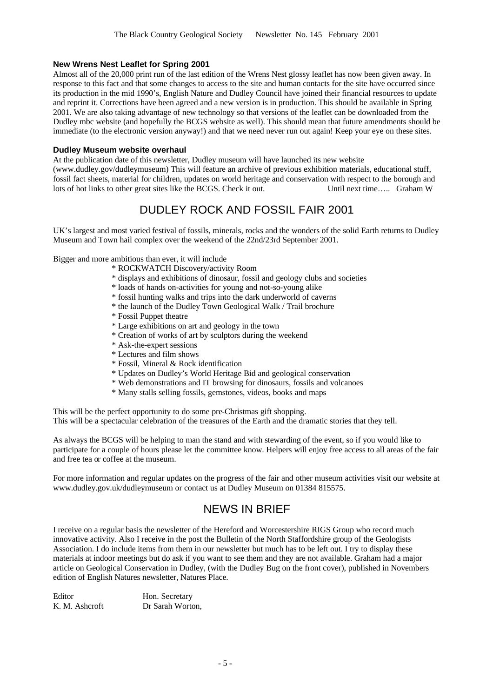### **New Wrens Nest Leaflet for Spring 2001**

Almost all of the 20,000 print run of the last edition of the Wrens Nest glossy leaflet has now been given away. In response to this fact and that some changes to access to the site and human contacts for the site have occurred since its production in the mid 1990's, English Nature and Dudley Council have joined their financial resources to update and reprint it. Corrections have been agreed and a new version is in production. This should be available in Spring 2001. We are also taking advantage of new technology so that versions of the leaflet can be downloaded from the Dudley mbc website (and hopefully the BCGS website as well). This should mean that future amendments should be immediate (to the electronic version anyway!) and that we need never run out again! Keep your eye on these sites.

#### **Dudley Museum website overhaul**

At the publication date of this newsletter, Dudley museum will have launched its new website (www.dudley.gov/dudleymuseum) This will feature an archive of previous exhibition materials, educational stuff, fossil fact sheets, material for children, updates on world heritage and conservation with respect to the borough and lots of hot links to other great sites like the BCGS. Check it out. Until next time….. Graham W

## DUDLEY ROCK AND FOSSIL FAIR 2001

UK's largest and most varied festival of fossils, minerals, rocks and the wonders of the solid Earth returns to Dudley Museum and Town hail complex over the weekend of the 22nd/23rd September 2001.

Bigger and more ambitious than ever, it will include

- \* ROCKWATCH Discovery/activity Room
- \* displays and exhibitions of dinosaur, fossil and geology clubs and societies
- \* loads of hands on-activities for young and not-so-young alike
- \* fossil hunting walks and trips into the dark underworld of caverns
- \* the launch of the Dudley Town Geological Walk / Trail brochure
- \* Fossil Puppet theatre
- \* Large exhibitions on art and geology in the town
- \* Creation of works of art by sculptors during the weekend
- \* Ask-the-expert sessions
- \* Lectures and film shows
- \* Fossil, Mineral & Rock identification
- \* Updates on Dudley's World Heritage Bid and geological conservation
- \* Web demonstrations and IT browsing for dinosaurs, fossils and volcanoes
- \* Many stalls selling fossils, gemstones, videos, books and maps

This will be the perfect opportunity to do some pre-Christmas gift shopping. This will be a spectacular celebration of the treasures of the Earth and the dramatic stories that they tell.

As always the BCGS will be helping to man the stand and with stewarding of the event, so if you would like to participate for a couple of hours please let the committee know. Helpers will enjoy free access to all areas of the fair and free tea or coffee at the museum.

For more information and regular updates on the progress of the fair and other museum activities visit our website at www.dudley.gov.uk/dudleymuseum or contact us at Dudley Museum on 01384 815575.

## NEWS IN BRIEF

I receive on a regular basis the newsletter of the Hereford and Worcestershire RIGS Group who record much innovative activity. Also I receive in the post the Bulletin of the North Staffordshire group of the Geologists Association. I do include items from them in our newsletter but much has to be left out. I try to display these materials at indoor meetings but do ask if you want to see them and they are not available. Graham had a major article on Geological Conservation in Dudley, (with the Dudley Bug on the front cover), published in Novembers edition of English Natures newsletter, Natures Place.

Editor Hon. Secretary K. M. Ashcroft Dr Sarah Worton,